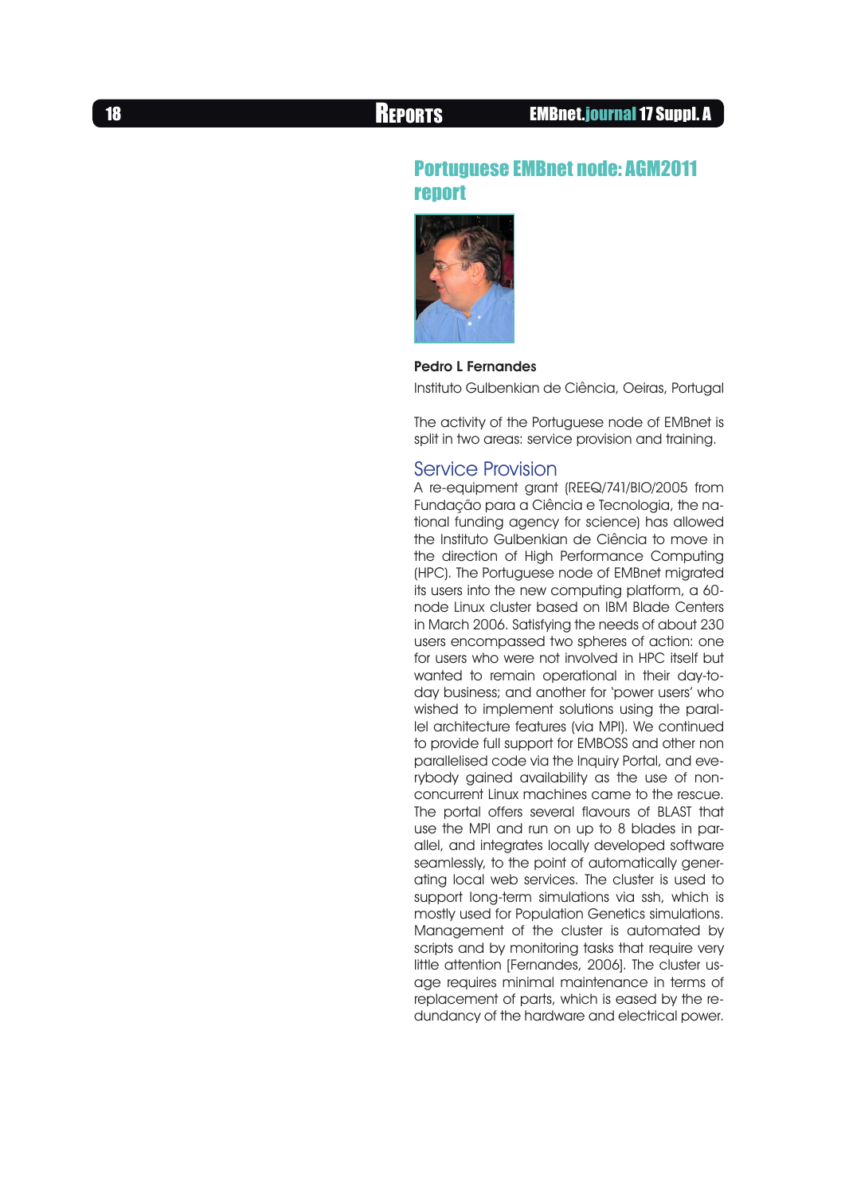# Portuguese EMBnet node: AGM2011 report



# Pedro L Fernandes

Instituto Gulbenkian de Ciência, Oeiras, Portugal

The activity of the Portuguese node of EMBnet is split in two areas: service provision and training.

## Service Provision

A re-equipment grant (REEQ/741/BIO/2005 from Fundação para a Ciência e Tecnologia, the national funding agency for science) has allowed the Instituto Gulbenkian de Ciência to move in the direction of High Performance Computing (HPC). The Portuguese node of EMBnet migrated its users into the new computing platform, a 60 node Linux cluster based on IBM Blade Centers in March 2006. Satisfying the needs of about 230 users encompassed two spheres of action: one for users who were not involved in HPC itself but wanted to remain operational in their day-today business; and another for 'power users' who wished to implement solutions using the parallel architecture features (via MPI). We continued to provide full support for EMBOSS and other non parallelised code via the Inquiry Portal, and everybody gained availability as the use of nonconcurrent Linux machines came to the rescue. The portal offers several flavours of BLAST that use the MPI and run on up to 8 blades in parallel, and integrates locally developed software seamlessly, to the point of automatically generating local web services. The cluster is used to support long-term simulations via ssh, which is mostly used for Population Genetics simulations. Management of the cluster is automated by scripts and by monitoring tasks that require very little attention [Fernandes, 2006]. The cluster usage requires minimal maintenance in terms of replacement of parts, which is eased by the redundancy of the hardware and electrical power.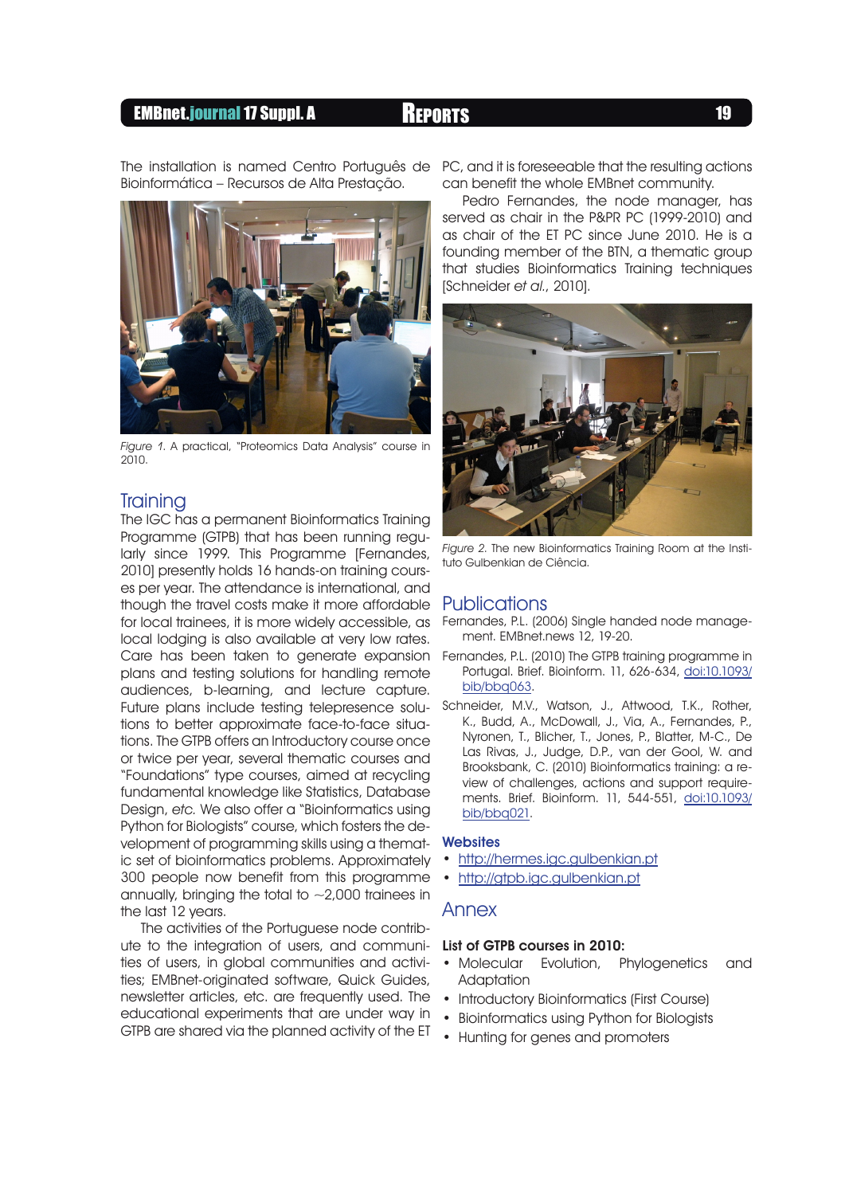# EMBnet.journal 17 Suppl. A Reports <sup>19</sup>

Bioinformática – Recursos de Alta Prestação.



Figure 1. A practical, "Proteomics Data Analysis" course in  $2010.$ 

### **Training**

The IGC has a permanent Bioinformatics Training Programme (GTPB) that has been running regularly since 1999. This Programme [Fernandes, 2010] presently holds 16 hands-on training courses per year. The attendance is international, and though the travel costs make it more affordable for local trainees, it is more widely accessible, as local lodging is also available at very low rates. Care has been taken to generate expansion Fernandes, P.L. (2010) The GTPB training programme in plans and testing solutions for handling remote audiences, b-learning, and lecture capture. Future plans include testing telepresence solu-Schneider, M.V., Watson, J., Attwood, T.K., Rother, tions to better approximate face-to-face situations. The GTPB offers an Introductory course once or twice per year, several thematic courses and "Foundations" type courses, aimed at recycling fundamental knowledge like Statistics, Database Design, etc. We also offer a "Bioinformatics using Python for Biologists" course, which fosters the development of programming skills using a thematic set of bioinformatics problems. Approximately 300 people now benefit from this programme annually, bringing the total to  $\sim$  2,000 trainees in the last 12 years.

The activities of the Portuguese node contribute to the integration of users, and communities of users, in global communities and activities; EMBnet-originated software, Quick Guides, newsletter articles, etc. are frequently used. The educational experiments that are under way in GTPB are shared via the planned activity of the ET

The installation is named Centro Português de PC, and it is foreseeable that the resulting actions can benefit the whole EMBnet community.

> Pedro Fernandes, the node manager, has served as chair in the P&PR PC (1999-2010) and as chair of the ET PC since June 2010. He is a founding member of the BTN, a thematic group that studies Bioinformatics Training techniques [Schneider et al., 2010].



Figure 2. The new Bioinformatics Training Room at the Instituto Gulbenkian de Ciência.

#### Publications

- Fernandes, P.L. (2006) Single handed node management. EMBnet.news 12, 19-20.
- Portugal. Brief. Bioinform. 11, 626-634, [doi:10.1093/](http://dx.doi.org/10.1093/bib/bbq063) [bib/bbq063](http://dx.doi.org/10.1093/bib/bbq063).
- K., Budd, A., McDowall, J., Via, A., Fernandes, P., Nyronen, T., Blicher, T., Jones, P., Blatter, M-C., De Las Rivas, J., Judge, D.P., van der Gool, W. and Brooksbank, C. (2010) Bioinformatics training: a review of challenges, actions and support requirements. Brief. Bioinform. 11, 544-551, [doi:10.1093/](http://dx.doi.org/10.1093/bib/bbq021) [bib/bbq021](http://dx.doi.org/10.1093/bib/bbq021).

### **Websites**

- <http://hermes.igc.gulbenkian.pt>
- <http://gtpb.igc.gulbenkian.pt>

#### Annex

#### List of GTPB courses in 2010:

- Molecular Evolution, Phylogenetics and **Adaptation**
- Introductory Bioinformatics (First Course)
- Bioinformatics using Python for Biologists
- Hunting for genes and promoters